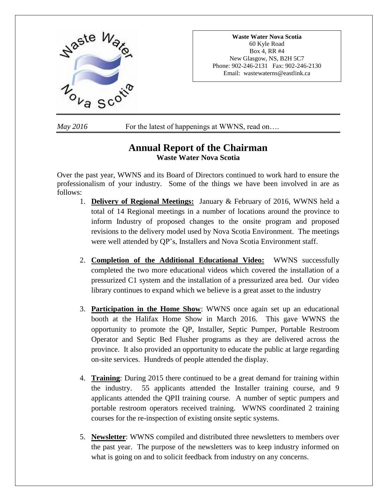

**Waste Water Nova Scotia** 60 Kyle Road Box 4, RR #4 New Glasgow, NS, B2H 5C7 Phone: 902-246-2131 Fax: 902-246-2130 Email: wastewaterns@eastlink.ca

*May* 2016 For the latest of happenings at WWNS, read on...

# **Annual Report of the Chairman Waste Water Nova Scotia**

Over the past year, WWNS and its Board of Directors continued to work hard to ensure the professionalism of your industry. Some of the things we have been involved in are as follows:

- 1. **Delivery of Regional Meetings:** January & February of 2016, WWNS held a total of 14 Regional meetings in a number of locations around the province to inform Industry of proposed changes to the onsite program and proposed revisions to the delivery model used by Nova Scotia Environment. The meetings were well attended by QP's, Installers and Nova Scotia Environment staff.
- 2. **Completion of the Additional Educational Video:** WWNS successfully completed the two more educational videos which covered the installation of a pressurized C1 system and the installation of a pressurized area bed. Our video library continues to expand which we believe is a great asset to the industry
- 3. **Participation in the Home Show**: WWNS once again set up an educational booth at the Halifax Home Show in March 2016. This gave WWNS the opportunity to promote the QP, Installer, Septic Pumper, Portable Restroom Operator and Septic Bed Flusher programs as they are delivered across the province. It also provided an opportunity to educate the public at large regarding on-site services. Hundreds of people attended the display.
- 4. **Training**: During 2015 there continued to be a great demand for training within the industry. 55 applicants attended the Installer training course, and 9 applicants attended the QPII training course. A number of septic pumpers and portable restroom operators received training. WWNS coordinated 2 training courses for the re-inspection of existing onsite septic systems.
- 5. **Newsletter**: WWNS compiled and distributed three newsletters to members over the past year. The purpose of the newsletters was to keep industry informed on what is going on and to solicit feedback from industry on any concerns.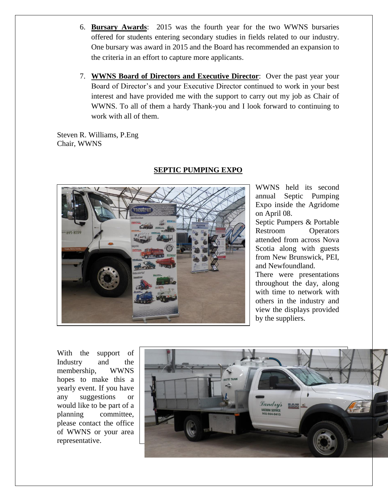- 6. **Bursary Awards**: 2015 was the fourth year for the two WWNS bursaries offered for students entering secondary studies in fields related to our industry. One bursary was award in 2015 and the Board has recommended an expansion to the criteria in an effort to capture more applicants.
- 7. **WWNS Board of Directors and Executive Director**: Over the past year your Board of Director's and your Executive Director continued to work in your best interest and have provided me with the support to carry out my job as Chair of WWNS. To all of them a hardy Thank-you and I look forward to continuing to work with all of them.

Steven R. Williams, P.Eng Chair, WWNS



### **SEPTIC PUMPING EXPO**

WWNS held its second annual Septic Pumping Expo inside the Agridome on April 08.

Septic Pumpers & Portable Restroom Operators attended from across Nova Scotia along with guests from New Brunswick, PEI, and Newfoundland.

There were presentations throughout the day, along with time to network with others in the industry and view the displays provided by the suppliers.

With the support of Industry and the membership, WWNS hopes to make this a yearly event. If you have any suggestions or would like to be part of a planning committee, please contact the office of WWNS or your area representative.

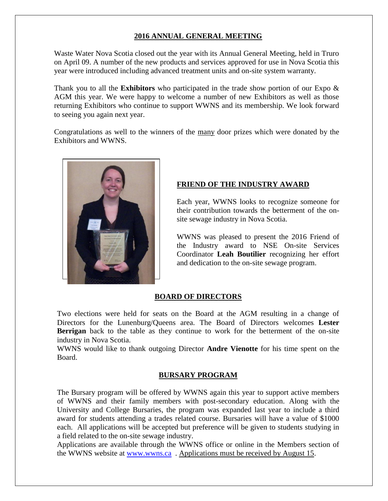### **2016 ANNUAL GENERAL MEETING**

Waste Water Nova Scotia closed out the year with its Annual General Meeting, held in Truro on April 09. A number of the new products and services approved for use in Nova Scotia this year were introduced including advanced treatment units and on-site system warranty.

Thank you to all the **Exhibitors** who participated in the trade show portion of our Expo & AGM this year. We were happy to welcome a number of new Exhibitors as well as those returning Exhibitors who continue to support WWNS and its membership. We look forward to seeing you again next year.

Congratulations as well to the winners of the many door prizes which were donated by the Exhibitors and WWNS.



# **FRIEND OF THE INDUSTRY AWARD**

Each year, WWNS looks to recognize someone for their contribution towards the betterment of the onsite sewage industry in Nova Scotia.

WWNS was pleased to present the 2016 Friend of the Industry award to NSE On-site Services Coordinator **Leah Boutilier** recognizing her effort and dedication to the on-site sewage program.

# **BOARD OF DIRECTORS**

Two elections were held for seats on the Board at the AGM resulting in a change of Directors for the Lunenburg/Queens area. The Board of Directors welcomes **Lester Berrigan** back to the table as they continue to work for the betterment of the on-site industry in Nova Scotia.

WWNS would like to thank outgoing Director **Andre Vienotte** for his time spent on the Board.

### **BURSARY PROGRAM**

The Bursary program will be offered by WWNS again this year to support active members of WWNS and their family members with post-secondary education. Along with the University and College Bursaries, the program was expanded last year to include a third award for students attending a trades related course. Bursaries will have a value of \$1000 each. All applications will be accepted but preference will be given to students studying in a field related to the on-site sewage industry.

Applications are available through the WWNS office or online in the Members section of the WWNS website at [www.wwns.ca](http://www.wwns.ca/) . Applications must be received by August 15.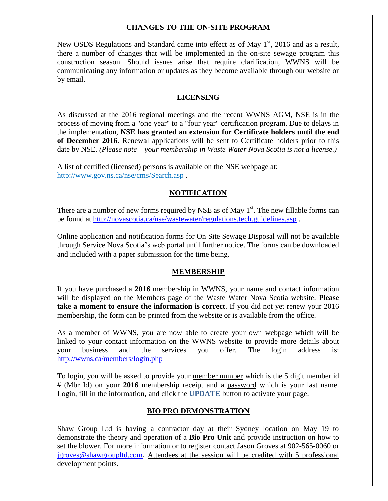#### **CHANGES TO THE ON-SITE PROGRAM**

New OSDS Regulations and Standard came into effect as of May  $1<sup>st</sup>$ , 2016 and as a result, there a number of changes that will be implemented in the on-site sewage program this construction season. Should issues arise that require clarification, WWNS will be communicating any information or updates as they become available through our website or by email.

### **LICENSING**

As discussed at the 2016 regional meetings and the recent WWNS AGM, NSE is in the process of moving from a "one year" to a "four year" certification program. Due to delays in the implementation, **NSE has granted an extension for Certificate holders until the end of December 2016**. Renewal applications will be sent to Certificate holders prior to this date by NSE. *(Please note – your membership in Waste Water Nova Scotia is not a license.)*

A list of certified (licensed) persons is available on the NSE webpage at: <http://www.gov.ns.ca/nse/cms/Search.asp> .

#### **NOTIFICATION**

There are a number of new forms required by NSE as of May  $1<sup>st</sup>$ . The new fillable forms can be found at <http://novascotia.ca/nse/wastewater/regulations.tech.guidelines.asp> .

Online application and notification forms for On Site Sewage Disposal will not be available through Service Nova Scotia's web portal until further notice. The forms can be downloaded and included with a paper submission for the time being.

#### **MEMBERSHIP**

If you have purchased a **2016** membership in WWNS, your name and contact information will be displayed on the Members page of the Waste Water Nova Scotia website. **Please take a moment to ensure the information is correct**. If you did not yet renew your 2016 membership, the form can be printed from the website or is available from the office.

As a member of WWNS, you are now able to create your own webpage which will be linked to your contact information on the WWNS website to provide more details about your business and the services you offer. The login address is: <http://wwns.ca/members/login.php>

To login, you will be asked to provide your member number which is the 5 digit member id # (Mbr Id) on your **2016** membership receipt and a password which is your last name. Login, fill in the information, and click the **UPDATE** button to activate your page.

#### **BIO PRO DEMONSTRATION**

Shaw Group Ltd is having a contractor day at their Sydney location on May 19 to demonstrate the theory and operation of a **Bio Pro Unit** and provide instruction on how to set the blower. For more information or to register contact Jason Groves at 902-565-0060 or [jgroves@shawgroupltd.com](mailto:jgroves@shawgroupltd.com). Attendees at the session will be credited with 5 professional development points.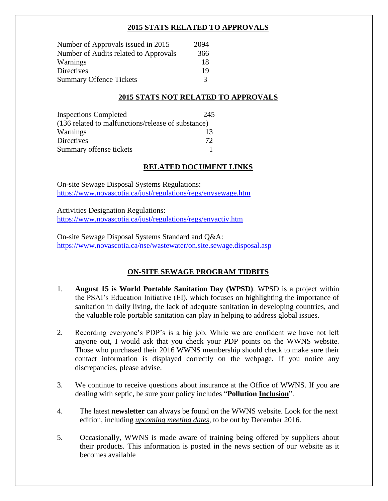### **2015 STATS RELATED TO APPROVALS**

| Number of Approvals issued in 2015    | 2094          |
|---------------------------------------|---------------|
| Number of Audits related to Approvals | 366           |
| Warnings                              | 18            |
| <b>Directives</b>                     | 19            |
| <b>Summary Offence Tickets</b>        | $\mathcal{R}$ |

# **2015 STATS NOT RELATED TO APPROVALS**

| <b>Inspections Completed</b>                       | 245 |
|----------------------------------------------------|-----|
| (136 related to malfunctions/release of substance) |     |
| Warnings                                           | 13  |
| <b>Directives</b>                                  | 72  |
| Summary offense tickets                            |     |

# **RELATED DOCUMENT LINKS**

On-site Sewage Disposal Systems Regulations: <https://www.novascotia.ca/just/regulations/regs/envsewage.htm>

Activities Designation Regulations: <https://www.novascotia.ca/just/regulations/regs/envactiv.htm>

On-site Sewage Disposal Systems Standard and Q&A: <https://www.novascotia.ca/nse/wastewater/on.site.sewage.disposal.asp>

# **ON-SITE SEWAGE PROGRAM TIDBITS**

- 1. **August 15 is World Portable Sanitation Day (WPSD)**. WPSD is a project within the PSAI's Education Initiative (EI), which focuses on highlighting the importance of sanitation in daily living, the lack of adequate sanitation in developing countries, and the valuable role portable sanitation can play in helping to address global issues.
- 2. Recording everyone's PDP's is a big job. While we are confident we have not left anyone out, I would ask that you check your PDP points on the WWNS website. Those who purchased their 2016 WWNS membership should check to make sure their contact information is displayed correctly on the webpage. If you notice any discrepancies, please advise.
- 3. We continue to receive questions about insurance at the Office of WWNS. If you are dealing with septic, be sure your policy includes "**Pollution Inclusion**".
- 4. The latest **newsletter** can always be found on the WWNS website. Look for the next edition, including *upcoming meeting dates*, to be out by December 2016.
- 5. Occasionally, WWNS is made aware of training being offered by suppliers about their products. This information is posted in the news section of our website as it becomes available